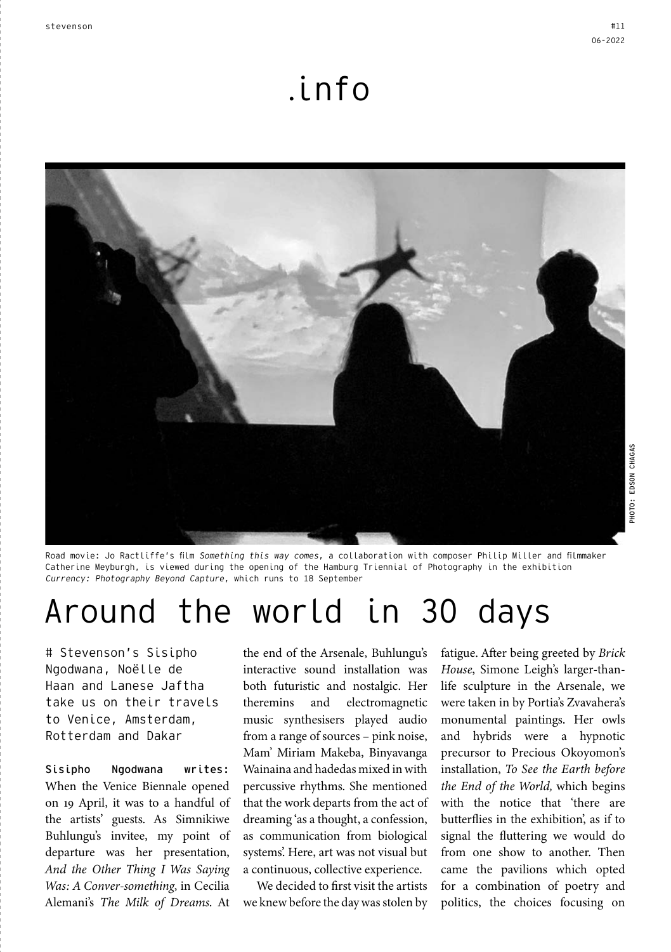## .info



Road movie: Jo Ractliffe's film Something this way comes, a collaboration with composer Philip Miller and filmmaker Catherine Meyburgh, is viewed during the opening of the Hamburg Triennial of Photography in the exhibition Currency: Photography Beyond Capture, which runs to 18 September

# Around the world in 30 days

# Stevenson's Sisipho Ngodwana, Noëlle de Haan and Lanese Jaftha take us on their travels to Venice, Amsterdam, Rotterdam and Dakar

Sisipho Ngodwana writes: When the Venice Biennale opened on 19 April, it was to a handful of the artists' guests. As Simnikiwe Buhlungu's invitee, my point of departure was her presentation, *And the Other Thing I Was Saying Was: A Conver-something*, in Cecilia Alemani's *The Milk of Dreams*. At

the end of the Arsenale, Buhlungu's interactive sound installation was both futuristic and nostalgic. Her theremins and electromagnetic music synthesisers played audio from a range of sources – pink noise, Mam' Miriam Makeba, Binyavanga Wainaina and hadedas mixed in with percussive rhythms. She mentioned that the work departs from the act of dreaming 'as a thought, a confession, as communication from biological systems'. Here, art was not visual but a continuous, collective experience.

We decided to first visit the artists we knew before the day was stolen by

fatigue. After being greeted by *Brick House*, Simone Leigh's larger-thanlife sculpture in the Arsenale, we were taken in by Portia's Zvavahera's monumental paintings. Her owls and hybrids were a hypnotic precursor to Precious Okoyomon's installation, *To See the Earth before the End of the World,* which begins with the notice that 'there are butterflies in the exhibition', as if to signal the fluttering we would do from one show to another. Then came the pavilions which opted for a combination of poetry and politics, the choices focusing on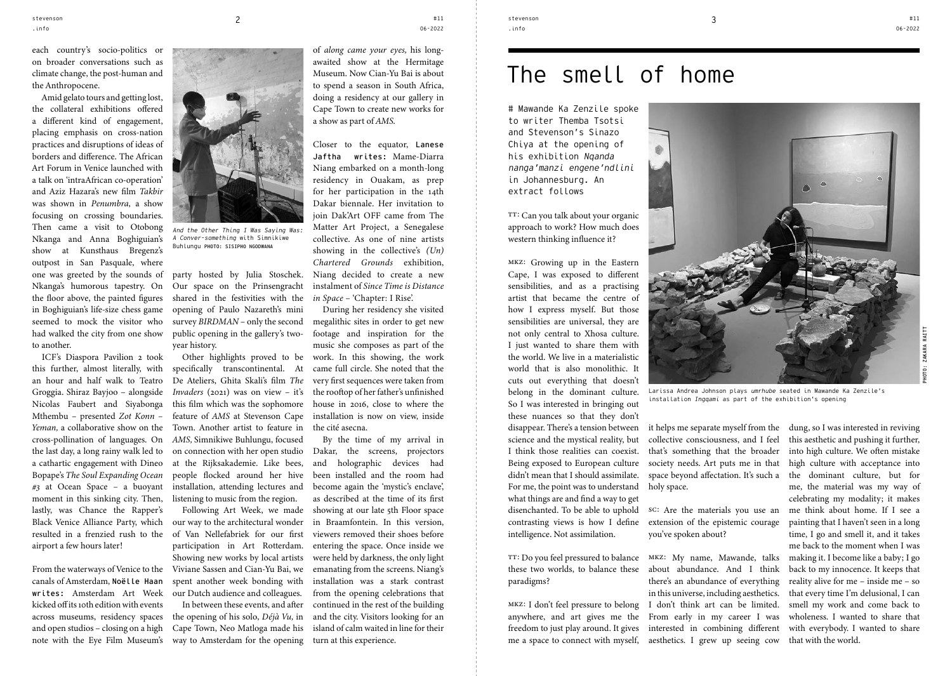each country's socio-politics or on broader conversations such as climate change, the post-human and the Anthropocene.

Amid gelato tours and getting lost, the collateral exhibitions offered a different kind of engagement, placing emphasis on cross-nation practices and disruptions of ideas of borders and difference. The African Art Forum in Venice launched with a talk on 'intraAfrican co-operation' and Aziz Hazara's new film *Takbir* was shown in *Penumbra*, a show focusing on crossing boundaries. Then came a visit to Otobong Nkanga and Anna Boghiguian's show at Kunsthaus Bregenz's outpost in San Pasquale, where one was greeted by the sounds of Nkanga's humorous tapestry. On the floor above, the painted figures in Boghiguian's life-size chess game seemed to mock the visitor who had walked the city from one show to another.

ICF's Diaspora Pavilion 2 took this further, almost literally, with an hour and half walk to Teatro Groggia. Shiraz Bayjoo – alongside Nicolas Faubert and Siyabonga Mthembu – presented *Zot Konn – Yeman,* a collaborative show on the cross-pollination of languages. On the last day, a long rainy walk led to a cathartic engagement with Dineo Bopape's *The Soul Expanding Ocean #3* at Ocean Space *–* a buoyant moment in this sinking city. Then, lastly, was Chance the Rapper's Black Venice Alliance Party, which resulted in a frenzied rush to the airport a few hours later!

From the waterways of Venice to the canals of Amsterdam, Noëlle Haan writes: Amsterdam Art Week kicked off its 10th edition with events across museums, residency spaces and open studios – closing on a high note with the Eye Film Museum's way to Amsterdam for the opening



And the Other Thing I Was Saying Was: A Conver-something with Simnikiwe Buhlungu PHOTO: SISIPHO NGODWANA

party hosted by Julia Stoschek. Our space on the Prinsengracht shared in the festivities with the opening of Paulo Nazareth's mini survey *BIRDMAN* – only the second public opening in the gallery's twoyear history.

Other highlights proved to be specifically transcontinental. At De Ateliers, Ghita Skali's film *The Invaders* (2021) was on view - it's this film which was the sophomore feature of *AMS* at Stevenson Cape Town. Another artist to feature in *AMS,* Simnikiwe Buhlungu, focused on connection with her open studio at the Rijksakademie. Like bees, people flocked around her hive installation, attending lectures and listening to music from the region.

Following Art Week, we made our way to the architectural wonder of Van Nellefabriek for our first participation in Art Rotterdam. Showing new works by local artists Viviane Sassen and Cian-Yu Bai, we spent another week bonding with our Dutch audience and colleagues. In between these events, and after the opening of his solo, *Déjà Vu,* in Cape Town, Neo Matloga made his

of *along came your eyes,* his longawaited show at the Hermitage Museum. Now Cian-Yu Bai is about

#11 06-2022

to spend a season in South Africa, doing a residency at our gallery in Cape Town to create new works for a show as part of *AMS*.

Closer to the equator, Lanese Jaftha writes: Mame-Diarra Niang embarked on a month-long residency in Ouakam, as prep for her participation in the 14th Dakar biennale. Her invitation to join Dak'Art OFF came from The Matter Art Project, a Senegalese collective. As one of nine artists showing in the collective's *(Un) Chartered Grounds* exhibition, Niang decided to create a new instalment of *Since Time is Distance in Space –* 'Chapter: I Rise'.

During her residency she visited megalithic sites in order to get new footage and inspiration for the music she composes as part of the work. In this showing, the work came full circle. She noted that the very first sequences were taken from the rooftop of her father's unfinished house in 2016, close to where the installation is now on view, inside the cité asecna.

By the time of my arrival in Dakar, the screens, projectors and holographic devices had been installed and the room had become again the 'mystic's enclave', as described at the time of its first showing at our late 5th Floor space in Braamfontein. In this version, viewers removed their shoes before entering the space. Once inside we were held by darkness, the only light emanating from the screens. Niang's installation was a stark contrast from the opening celebrations that continued in the rest of the building and the city. Visitors looking for an island of calm waited in line for their turn at this experience.

# The smell of home

# Mawande Ka Zenzile spoke to writer Themba Tsotsi and Stevenson's Sinazo Chiya at the opening of his exhibition Naanda nanga'manzi engene'ndlini in Johannesburg. An extract follows

TT: Can you talk about your organic approach to work? How much does western thinking influence it?

mkz: Growing up in the Eastern Cape, I was exposed to different sensibilities, and as a practising artist that became the centre of how I express myself. But those sensibilities are universal, they are not only central to Xhosa culture. I just wanted to share them with the world. We live in a materialistic world that is also monolithic. It cuts out everything that doesn't belong in the dominant culture. So I was interested in bringing out these nuances so that they don't disappear. There's a tension between science and the mystical reality, but I think those realities can coexist. Being exposed to European culture didn't mean that I should assimilate. For me, the point was to understand what things are and find a way to get disenchanted. To be able to uphold contrasting views is how I define intelligence. Not assimilation.

TT: Do you feel pressured to balance these two worlds, to balance these about abundance. And I think paradigms?

anywhere, and art gives me the From early in my career I was freedom to just play around. It gives interested in combining different me a space to connect with myself, aesthetics. I grew up seeing cow



Larissa Andrea Johnson plays umrhube seated in Mawande Ka Zenzile's installation Ingqami as part of the exhibition's opening

it helps me separate myself from the collective consciousness, and I feel that's something that the broader society needs. Art puts me in that space beyond affectation. It's such a holy space.

sc: Are the materials you use an extension of the epistemic courage you've spoken about?

mkz: I don't feel pressure to belong I don't think art can be limited. mkz: My name, Mawande, talks there's an abundance of everything in this universe, including aesthetics.

dung, so I was interested in reviving this aesthetic and pushing it further, into high culture. We often mistake high culture with acceptance into the dominant culture, but for me, the material was my way of celebrating my modality; it makes me think about home. If I see a painting that I haven't seen in a long time, I go and smell it, and it takes me back to the moment when I was making it. I become like a baby; I go back to my innocence. It keeps that reality alive for me – inside me – so that every time I'm delusional, I can smell my work and come back to wholeness. I wanted to share that with everybody. I wanted to share that with the world.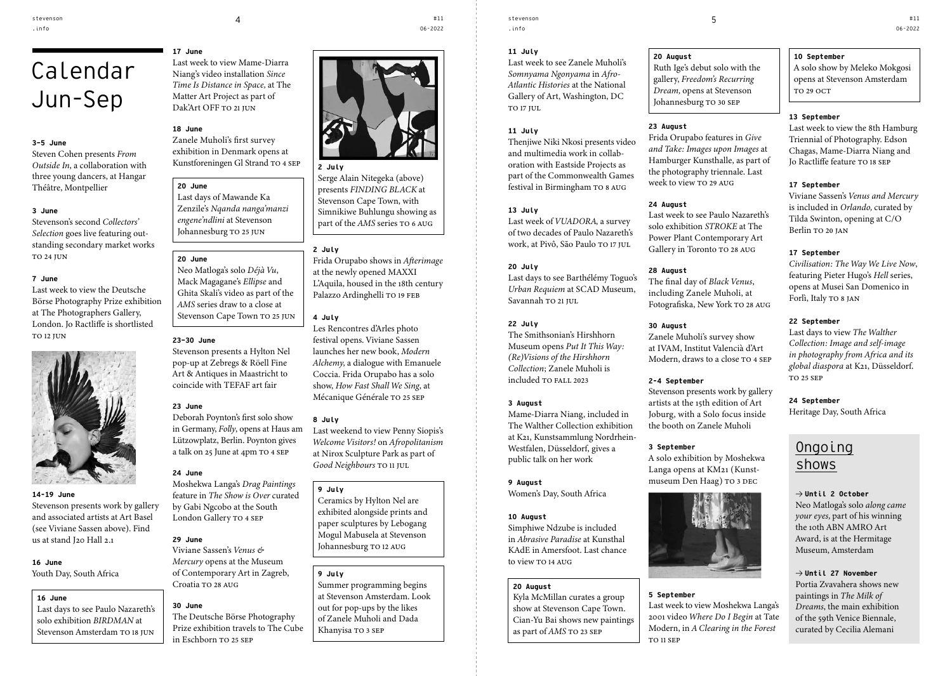# Calendar Jun-Sep

#### **3–5 June**

Steven Cohen presents *From Outside In*, a collaboration with three young dancers, at Hangar Théâtre, Montpellier

#### **3 June**

Stevenson's second *Collectors' Selection* goes live featuring outstanding secondary market works TO 24 JUN

#### **7 June**

Last week to view the Deutsche Börse Photography Prize exhibition at The Photographers Gallery, London. Jo Ractliffe is shortlisted TO 12 JUN



#### **14-19 June**

Stevenson presents work by gallery and associated artists at Art Basel (see Viviane Sassen above). Find us at stand J20 Hall 2.1

### **16 June**

Youth Day, South Africa

#### **16 June**

Last days to see Paulo Nazareth's solo exhibition *BIRDMAN* at Stevenson Amsterdam TO 18 JUN **17 June**

Last week to view Mame-Diarra Niang's video installation *Since Time Is Distance in Space,* at The Matter Art Project as part of Dak'Art OFF TO 21 JUN

### **18 June**

Zanele Muholi's first survey exhibition in Denmark opens at Kunstforeningen Gl Strand TO 4 SEP

#### **20 June**

Last days of Mawande Ka Zenzile's *Nqanda nanga'manzi engene'ndlini* at Stevenson Johannesburg TO 25 JUN

#### **20 June**

Neo Matloga's solo *Déjà Vu*, Mack Magagane's *Ellipse* and Ghita Skali's video as part of the *AMS* series draw to a close at Stevenson Cape Town TO 25 JUN

#### **23–30 June**

Stevenson presents a Hylton Nel pop-up at Zebregs & Röell Fine Art & Antiques in Maastricht to coincide with TEFAF art fair

### **23 June**

Deborah Poynton's first solo show in Germany, *Folly*, opens at Haus am Lützowplatz, Berlin. Poynton gives a talk on 25 June at 4pm TO 4 SEP

#### **24 June**

Moshekwa Langa's *Drag Paintings* feature in *The Show is Over* curated by Gabi Ngcobo at the South London Gallery TO 4 SEP

#### **29 June**

Viviane Sassen's *Venus & Mercury* opens at the Museum of Contemporary Art in Zagreb, Croatia TO 28 AUG

#### **30 June**

The Deutsche Börse Photography Prize exhibition travels to The Cube in Eschborn TO 25 SEP



#11 06-2022



#### **2 July**

Serge Alain Nitegeka (above) presents *FINDING BLACK* at Stevenson Cape Town, with Simnikiwe Buhlungu showing as part of the *AMS* series TO 6 AUG

#### **2 July**

Frida Orupabo shows in *Afterimage* at the newly opened MAXXI L'Aquila, housed in the 18th century Palazzo Ardinghelli TO 19 FEB

#### **4 July**

Les Rencontres d'Arles photo festival opens. Viviane Sassen launches her new book, *Modern Alchemy,* a dialogue with Emanuele Coccia. Frida Orupabo has a solo show, *How Fast Shall We Sing*, at Mécanique Générale TO 25 SEP

#### **8 July**

Last weekend to view Penny Siopis's *Welcome Visitors!* on *Afropolitanism* at Nirox Sculpture Park as part of *Good Neighbours* TO 11 JUL

#### **9 July**

Ceramics by Hylton Nel are exhibited alongside prints and paper sculptures by Lebogang Mogul Mabusela at Stevenson Johannesburg TO 12 AUG

#### **9 July**

Summer programming begins at Stevenson Amsterdam. Look out for pop-ups by the likes of Zanele Muholi and Dada Khanyisa TO 3 SEP

stevenson .info

**11 July**

Last week to see Zanele Muholi's *Somnyama Ngonyama* in *Afro-Atlantic Histories* at the National Gallery of Art, Washington, DC TO 17 JUL

#### **11 July**

Thenjiwe Niki Nkosi presents video and multimedia work in collaboration with Eastside Projects as part of the Commonwealth Games festival in Birmingham TO 8 AUG

#### **13 July**

Last week of *VUADORA*, a survey of two decades of Paulo Nazareth's work, at Pivô, São Paulo TO 17 JUL.

#### **20 July**

Last days to see Barthélémy Toguo's *Urban Requiem* at SCAD Museum, Savannah TO 21 JUL

#### **22 July**

The Smithsonian's Hirshhorn Museum opens *Put It This Way: (Re)Visions of the Hirshhorn Collection*; Zanele Muholi is included TO FALL 2023

#### **3 August**

Mame-Diarra Niang, included in The Walther Collection exhibition at K21, Kunstsammlung Nordrhein-Westfalen, Düsseldorf, gives a public talk on her work

#### **9 August**

Women's Day, South Africa

#### **10 August**

Simphiwe Ndzube is included in *Abrasive Paradise* at Kunsthal KAdE in Amersfoot. Last chance to view TO 14 AUG

#### **20 August**

Kyla McMillan curates a group show at Stevenson Cape Town. Cian-Yu Bai shows new paintings as part of *AMS* TO 23 SEP

**20 August**

Ruth Ige's debut solo with the gallery, *Freedom's Recurring Dream,* opens at Stevenson Johannesburg TO 30 SEP

#### **23 August**

Frida Orupabo features in *Give and Take: Images upon Images* at Hamburger Kunsthalle, as part of the photography triennale. Last week to view TO 29 AUG

#### **24 August**

Last week to see Paulo Nazareth's solo exhibition *STROKE* at The Power Plant Contemporary Art Gallery in Toronto TO 28 AUG

#### **28 August**

The final day of *Black Venus*, including Zanele Muholi, at Fotografiska, New York TO 28 AUG

#### **30 August**

Zanele Muholi's survey show at IVAM, Institut Valencià d'Art Modern, draws to a close TO 4 SEP

#### **2-4 September**

Stevenson presents work by gallery artists at the 15th edition of Art Joburg, with a Solo focus inside the booth on Zanele Muholi

#### **3 September**

A solo exhibition by Moshekwa Langa opens at KM21 (Kunstmuseum Den Haag) TO 3 DEC



#### **5 September**

Last week to view Moshekwa Langa's 2001 video *Where Do I Begin* at Tate Modern, in *A Clearing in the Forest* TO 11 SEP

#### **10 September**

A solo show by Meleko Mokgosi opens at Stevenson Amsterdam TO 29 OCT

#11 06-2022

#### **13 September**

Last week to view the 8th Hamburg Triennial of Photography. Edson Chagas, Mame-Diarra Niang and Jo Ractliffe feature TO 18 SEP

#### **17 September**

Viviane Sassen's *Venus and Mercury* is included in *Orlando,* curated by Tilda Swinton, opening at C/O Berlin TO 20 JAN

#### **17 September**

*Civilisation: The Way We Live Now*, featuring Pieter Hugo's *Hell* series, opens at Musei San Domenico in Forlì, Italy TO 8 JAN

#### **22 September**

Last days to view *The Walther Collection: Image and self-image in photography from Africa and its global diaspora* at K21, Düsseldorf. TO 25 SEP

### **24 September**

Heritage Day, South Africa

### **Ongoing** shows

→ **Until 2 October** Neo Matloga's solo *along came your eyes,* part of his winning the 10th ABN AMRO Art Award, is at the Hermitage Museum, Amsterdam

#### → **Until 27 November** Portia Zvavahera shows new

paintings in *The Milk of Dreams*, the main exhibition of the 59th Venice Biennale, curated by Cecilia Alemani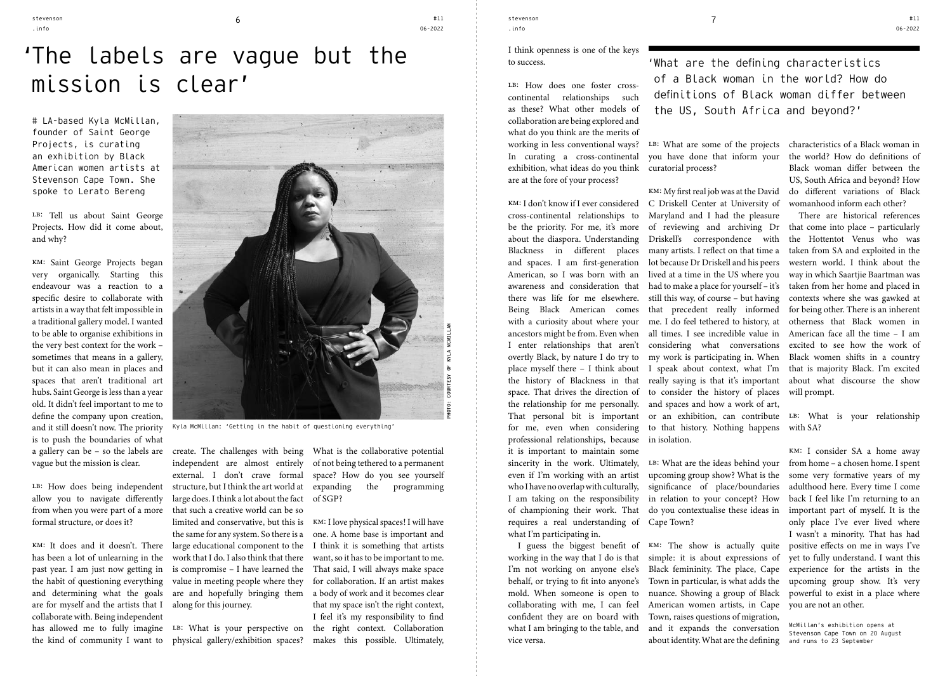.info

# 'The labels are vague but the mission is clear'

# LA-based Kyla McMillan, founder of Saint George Projects, is curating an exhibition by Black American women artists at Stevenson Cape Town. She spoke to Lerato Bereng

LB: Tell us about Saint George Projects. How did it come about, and why?

km: Saint George Projects began very organically. Starting this endeavour was a reaction to a specific desire to collaborate with artists in a way that felt impossible in a traditional gallery model. I wanted to be able to organise exhibitions in the very best context for the work – sometimes that means in a gallery, but it can also mean in places and spaces that aren't traditional art hubs. Saint George is less than a year old. It didn't feel important to me to define the company upon creation, and it still doesn't now. The priority is to push the boundaries of what a gallery can be – so the labels are vague but the mission is clear.

LB: How does being independent allow you to navigate differently from when you were part of a more formal structure, or does it?

has been a lot of unlearning in the past year. I am just now getting in are for myself and the artists that I along for this journey. collaborate with. Being independent has allowed me to fully imagine LB: What is your perspective on



Kyla McMillan: 'Getting in the habit of questioning everything'

km: It does and it doesn't. There large educational component to the I think it is something that artists the habit of questioning everything value in meeting people where they and determining what the goals are and hopefully bringing them create. The challenges with being independent are almost entirely external. I don't crave formal structure, but I think the art world at large does. I think a lot about the fact that such a creative world can be so limited and conservative, but this is the same for any system. So there is a work that I do. I also think that there is compromise – I have learned the

What is the collaborative potential of not being tethered to a permanent space? How do you see yourself expanding the programming of SGP?

the kind of community I want to physical gallery/exhibition spaces? makes this possible. Ultimately, km: I love physical spaces! I will have one. A home base is important and want, so it has to be important to me. That said, I will always make space for collaboration. If an artist makes a body of work and it becomes clear that my space isn't the right context, I feel it's my responsibility to find the right context. Collaboration

stevenson .info stevenson and the stevenson contract  $\sim$  5  $^{+11}$  stevenson contract  $\sim$  7

#11 06-2022

#### I think openness is one of the keys to success.

LB: How does one foster crosscontinental relationships such as these? What other models of collaboration are being explored and what do you think are the merits of working in less conventional ways? In curating a cross-continental exhibition, what ideas do you think are at the fore of your process?

cross-continental relationships to be the priority. For me, it's more about the diaspora. Understanding Blackness in different places and spaces. I am first-generation American, so I was born with an awareness and consideration that there was life for me elsewhere. Being Black American comes with a curiosity about where your ancestors might be from. Even when I enter relationships that aren't overtly Black, by nature I do try to place myself there – I think about the history of Blackness in that the relationship for me personally. That personal bit is important for me, even when considering professional relationships, because it is important to maintain some sincerity in the work. Ultimately, even if I'm working with an artist who I have no overlap with culturally, I am taking on the responsibility of championing their work. That requires a real understanding of what I'm participating in.

I guess the biggest benefit of working in the way that I do is that I'm not working on anyone else's mold. When someone is open to collaborating with me, I can feel confident they are on board with what I am bringing to the table, and vice versa.

'What are the defining characteristics of a Black woman in the world? How do definitions of Black woman differ between the US, South Africa and beyond?'

you have done that inform your curatorial process?

km: I don't know if I ever considered C Driskell Center at University of space. That drives the direction of to consider the history of places will prompt. km: My first real job was at the David Maryland and I had the pleasure of reviewing and archiving Dr Driskell's correspondence with many artists. I reflect on that time a lot because Dr Driskell and his peers lived at a time in the US where you had to make a place for yourself – it's still this way, of course – but having that precedent really informed me. I do feel tethered to history, at all times. I see incredible value in considering what conversations my work is participating in. When I speak about context, what I'm really saying is that it's important and spaces and how a work of art,

to that history. Nothing happens with SA? in isolation.

upcoming group show? What is the significance of place/boundaries in relation to your concept? How do you contextualise these ideas in Cape Town?

behalf, or trying to fit into anyone's Town in particular, is what adds the about identity. What are the defining and runs to 23 September km: The show is actually quite simple: it is about expressions of Black femininity. The place, Cape nuance. Showing a group of Black American women artists, in Cape Town, raises questions of migration, and it expands the conversation

LB: What are some of the projects characteristics of a Black woman in the world? How do definitions of Black woman differ between the US, South Africa and beyond? How do different variations of Black womanhood inform each other?

> There are historical references that come into place – particularly the Hottentot Venus who was taken from SA and exploited in the western world. I think about the way in which Saartjie Baartman was taken from her home and placed in contexts where she was gawked at for being other. There is an inherent otherness that Black women in American face all the time – I am excited to see how the work of Black women shifts in a country that is majority Black. I'm excited about what discourse the show

or an exhibition, can contribute LB: What is your relationship

km: I consider SA a home away LB: What are the ideas behind your from home - a chosen home. I spent some very formative years of my adulthood here. Every time I come back I feel like I'm returning to an important part of myself. It is the only place I've ever lived where I wasn't a minority. That has had positive effects on me in ways I've yet to fully understand. I want this experience for the artists in the upcoming group show. It's very powerful to exist in a place where you are not an other.

> McMillan's exhibition opens at Stevenson Cape Town on 20 August

#11 06-2022